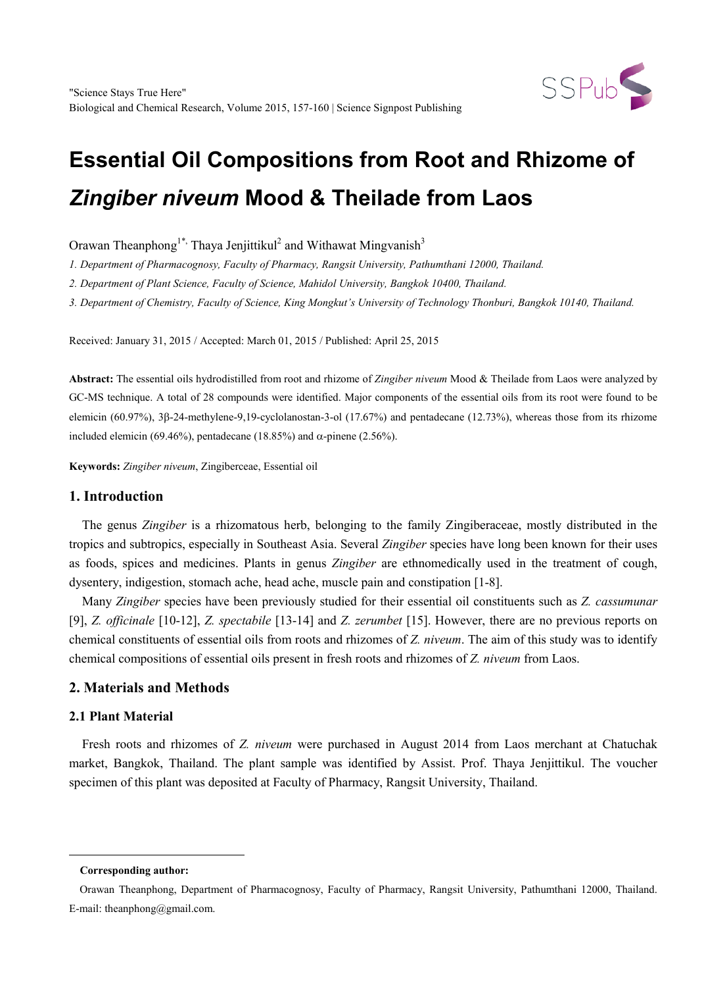

# **Essential Oil Compositions from Root and Rhizome of**  *Zingiber niveum* **Mood & Theilade from Laos**

Orawan Theanphong<sup>1\*,</sup> Thaya Jenjittikul<sup>2</sup> and Withawat Mingvanish<sup>3</sup>

*1. Department of Pharmacognosy, Faculty of Pharmacy, Rangsit University, Pathumthani 12000, Thailand.*

*2. Department of Plant Science, Faculty of Science, Mahidol University, Bangkok 10400, Thailand.*

*3. Department of Chemistry, Faculty of Science, King Mongkut's University of Technology Thonburi, Bangkok 10140, Thailand.*

Received: January 31, 2015 / Accepted: March 01, 2015 / Published: April 25, 2015

**Abstract:** The essential oils hydrodistilled from root and rhizome of *Zingiber niveum* Mood & Theilade from Laos were analyzed by GC-MS technique. A total of 28 compounds were identified. Major components of the essential oils from its root were found to be elemicin (60.97%), 3β-24-methylene-9,19-cyclolanostan-3-ol (17.67%) and pentadecane (12.73%), whereas those from its rhizome included elemicin (69.46%), pentadecane (18.85%) and α-pinene (2.56%).

**Keywords:** *Zingiber niveum*, Zingiberceae, Essential oil

# **1. Introduction**

The genus *Zingiber* is a rhizomatous herb, belonging to the family Zingiberaceae, mostly distributed in the tropics and subtropics, especially in Southeast Asia. Several *Zingiber* species have long been known for their uses as foods, spices and medicines. Plants in genus *Zingiber* are ethnomedically used in the treatment of cough, dysentery, indigestion, stomach ache, head ache, muscle pain and constipation [1-8].

Many *Zingiber* species have been previously studied for their essential oil constituents such as *Z. cassumunar* [9], *Z. officinale* [10-12], *Z. spectabile* [13-14] and *Z. zerumbet* [15]. However, there are no previous reports on chemical constituents of essential oils from roots and rhizomes of *Z. niveum*. The aim of this study was to identify chemical compositions of essential oils present in fresh roots and rhizomes of *Z. niveum* from Laos.

# **2. Materials and Methods**

# **2.1 Plant Material**

Fresh roots and rhizomes of *Z. niveum* were purchased in August 2014 from Laos merchant at Chatuchak market, Bangkok, Thailand. The plant sample was identified by Assist. Prof. Thaya Jenjittikul. The voucher specimen of this plant was deposited at Faculty of Pharmacy, Rangsit University, Thailand.

<span id="page-0-0"></span>-

**Corresponding author:**

Orawan Theanphong, Department of Pharmacognosy, Faculty of Pharmacy, Rangsit University, Pathumthani 12000, Thailand. E-mail: theanphong@gmail.com.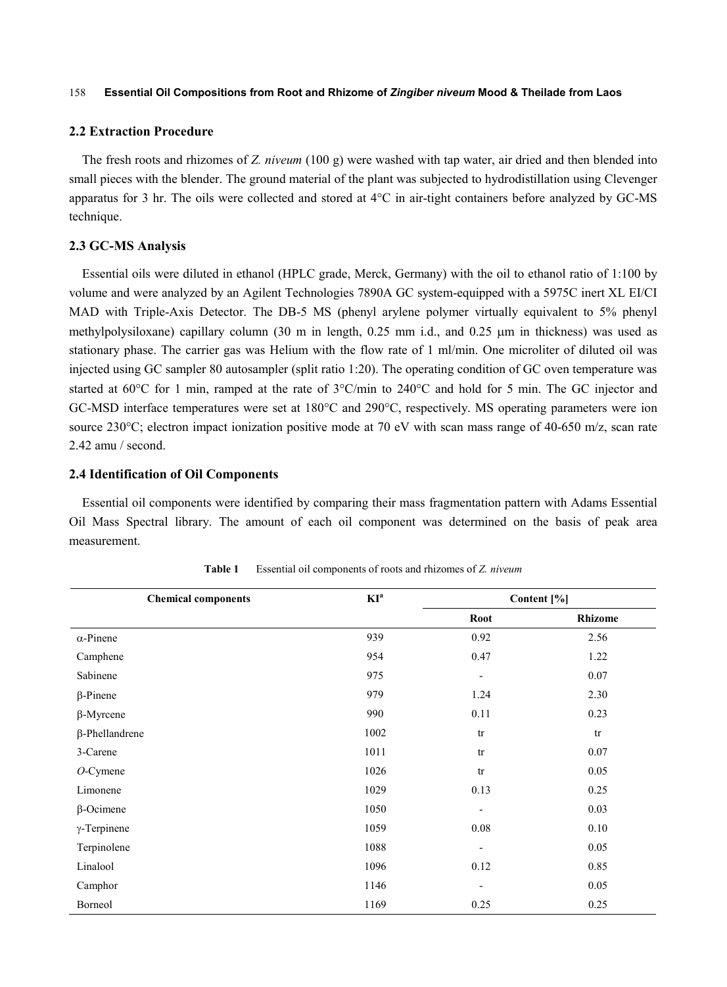#### 158 **Essential Oil Compositions from Root and Rhizome of** *Zingiber niveum* **Mood & Theilade from Laos**

#### **2.2 Extraction Procedure**

The fresh roots and rhizomes of *Z. niveum* (100 g) were washed with tap water, air dried and then blended into small pieces with the blender. The ground material of the plant was subjected to hydrodistillation using Clevenger apparatus for 3 hr. The oils were collected and stored at 4°C in air-tight containers before analyzed by GC-MS technique.

### **2.3 GC-MS Analysis**

Essential oils were diluted in ethanol (HPLC grade, Merck, Germany) with the oil to ethanol ratio of 1:100 by volume and were analyzed by an Agilent Technologies 7890A GC system-equipped with a 5975C inert XL EI/CI MAD with Triple-Axis Detector. The DB-5 MS (phenyl arylene polymer virtually equivalent to 5% phenyl methylpolysiloxane) capillary column (30 m in length, 0.25 mm i.d., and 0.25 µm in thickness) was used as stationary phase. The carrier gas was Helium with the flow rate of 1 ml/min. One microliter of diluted oil was injected using GC sampler 80 autosampler (split ratio 1:20). The operating condition of GC oven temperature was started at 60°C for 1 min, ramped at the rate of 3°C/min to 240°C and hold for 5 min. The GC injector and GC-MSD interface temperatures were set at 180°C and 290°C, respectively. MS operating parameters were ion source 230°C; electron impact ionization positive mode at 70 eV with scan mass range of 40-650 m/z, scan rate 2.42 amu / second.

#### **2.4 Identification of Oil Components**

Essential oil components were identified by comparing their mass fragmentation pattern with Adams Essential Oil Mass Spectral library. The amount of each oil component was determined on the basis of peak area measurement.

| <b>Chemical components</b> | $KI^a$ | Content [%]                  |                |
|----------------------------|--------|------------------------------|----------------|
|                            |        | <b>Root</b>                  | <b>Rhizome</b> |
| $\alpha$ -Pinene           | 939    | 0.92                         | 2.56           |
| Camphene                   | 954    | 0.47                         | 1.22           |
| Sabinene                   | 975    | $\overline{\phantom{a}}$     | 0.07           |
| $\beta$ -Pinene            | 979    | 1.24                         | 2.30           |
| $\beta$ -Myrcene           | 990    | 0.11                         | 0.23           |
| $\beta$ -Phellandrene      | 1002   | tr                           | tr             |
| 3-Carene                   | 1011   | tr                           | 0.07           |
| $O$ -Cymene                | 1026   | tr                           | 0.05           |
| Limonene                   | 1029   | 0.13                         | 0.25           |
| $\beta$ -Ocimene           | 1050   | $\qquad \qquad \blacksquare$ | 0.03           |
| $\gamma$ -Terpinene        | 1059   | $0.08\,$                     | $0.10\,$       |
| Terpinolene                | 1088   | $\overline{\phantom{a}}$     | 0.05           |
| Linalool                   | 1096   | 0.12                         | 0.85           |
| Camphor                    | 1146   | $\overline{\phantom{a}}$     | 0.05           |
| Borneol                    | 1169   | 0.25                         | 0.25           |

**Table 1** Essential oil components of roots and rhizomes of *Z. niveum*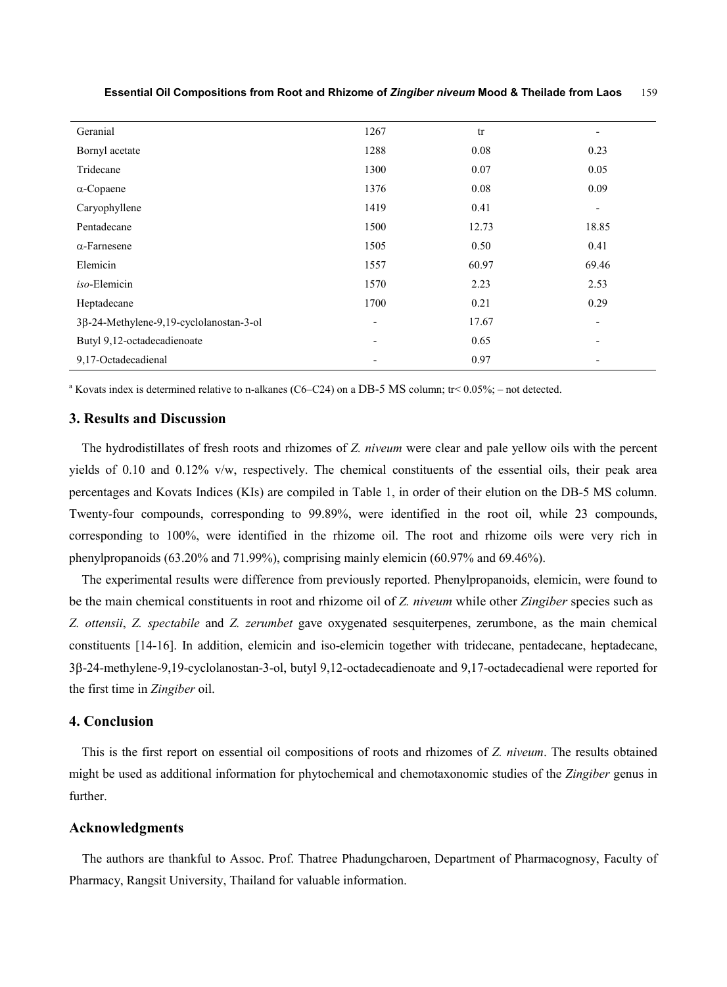| Geranial                                | 1267                     | tr    | $\overline{\phantom{a}}$ |
|-----------------------------------------|--------------------------|-------|--------------------------|
| Bornyl acetate                          | 1288                     | 0.08  | 0.23                     |
| Tridecane                               | 1300                     | 0.07  | 0.05                     |
| $\alpha$ -Copaene                       | 1376                     | 0.08  | 0.09                     |
| Caryophyllene                           | 1419                     | 0.41  | $\overline{\phantom{a}}$ |
| Pentadecane                             | 1500                     | 12.73 | 18.85                    |
| $\alpha$ -Farnesene                     | 1505                     | 0.50  | 0.41                     |
| Elemicin                                | 1557                     | 60.97 | 69.46                    |
| iso-Elemicin                            | 1570                     | 2.23  | 2.53                     |
| Heptadecane                             | 1700                     | 0.21  | 0.29                     |
| 3β-24-Methylene-9,19-cyclolanostan-3-ol | $\overline{\phantom{a}}$ | 17.67 | $\overline{\phantom{a}}$ |
| Butyl 9,12-octadecadienoate             | $\overline{\phantom{0}}$ | 0.65  | $\overline{\phantom{a}}$ |
| 9,17-Octadecadienal                     |                          | 0.97  | $\overline{\phantom{a}}$ |

**Essential Oil Compositions from Root and Rhizome of** *Zingiber niveum* **Mood & Theilade from Laos** 159

<sup>a</sup> Kovats index is determined relative to n-alkanes (C6–C24) on a DB-5 MS column; tr<  $0.05\%$ ; – not detected.

## **3. Results and Discussion**

The hydrodistillates of fresh roots and rhizomes of *Z. niveum* were clear and pale yellow oils with the percent yields of 0.10 and 0.12% v/w, respectively. The chemical constituents of the essential oils, their peak area percentages and Kovats Indices (KIs) are compiled in Table 1, in order of their elution on the DB-5 MS column. Twenty-four compounds, corresponding to 99.89%, were identified in the root oil, while 23 compounds, corresponding to 100%, were identified in the rhizome oil. The root and rhizome oils were very rich in phenylpropanoids (63.20% and 71.99%), comprising mainly elemicin (60.97% and 69.46%).

The experimental results were difference from previously reported. Phenylpropanoids, elemicin, were found to be the main chemical constituents in root and rhizome oil of *Z. niveum* while other *Zingiber* species such as *Z. ottensii*, *Z. spectabile* and *Z. zerumbet* gave oxygenated sesquiterpenes, zerumbone, as the main chemical constituents [14-16]. In addition, elemicin and iso-elemicin together with tridecane, pentadecane, heptadecane, 3β-24-methylene-9,19-cyclolanostan-3-ol, butyl 9,12-octadecadienoate and 9,17-octadecadienal were reported for the first time in *Zingiber* oil.

### **4. Conclusion**

This is the first report on essential oil compositions of roots and rhizomes of *Z. niveum*. The results obtained might be used as additional information for phytochemical and chemotaxonomic studies of the *Zingiber* genus in further.

## **Acknowledgments**

The authors are thankful to Assoc. Prof. Thatree Phadungcharoen, Department of Pharmacognosy, Faculty of Pharmacy, Rangsit University, Thailand for valuable information.